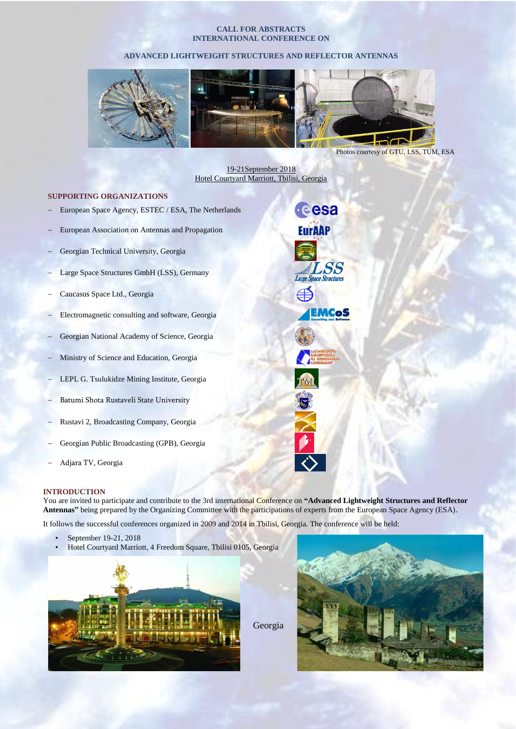#### **CALL FOR ABSTRACTS INTERNATIONAL CONFERENCE ON**

## **ADVANCED LIGHTWEIGHT STRUCTURES AND REFLECTOR ANTENNAS**



Photos courtesy of GTU, LSS, TUM, ESA

19-21September 2018 Hotel Courtyard Marriott, Tbilisi, Georgia

cesa

**EurAAP** 

LSS *Large Space Structures* 

<u>EMCoS</u>

## **SUPPORTING ORGANIZATIONS**

- European Space Agency, ESTEC / ESA, The Netherlands
- European Association on Antennas and Propagation
- Georgian Technical University, Georgia
- Large Space Structures GmbH (LSS), Germany
- Caucasus Space Ltd., Georgia
- Electromagnetic consulting and software, Georgia
- Georgian National Academy of Science, Georgia
- Ministry of Science and Education, Georgia
- LEPL G. Tsulukidze Mining Institute, Georgia
- Batumi Shota Rustaveli State University
- Rustavi 2, Broadcasting Company, Georgia
- Georgian Public Broadcasting (GPB), Georgia
- Adjara TV, Georgia

#### **INTRODUCTION**

You are invited to participate and contribute to the 3rd international Conference on **"Advanced Lightweight Structures and Reflector Antennas"** being prepared by the Organizing Committee with the participations of experts from the European Space Agency (ESA).

It follows the successful conferences organized in 2009 and 2014 in Tbilisi, Georgia. The conference will be held:

- September 19-21, 2018
- Hotel Courtyard Marriott, 4 Freedom Square, Tbilisi 0105, Georgia



Georgia

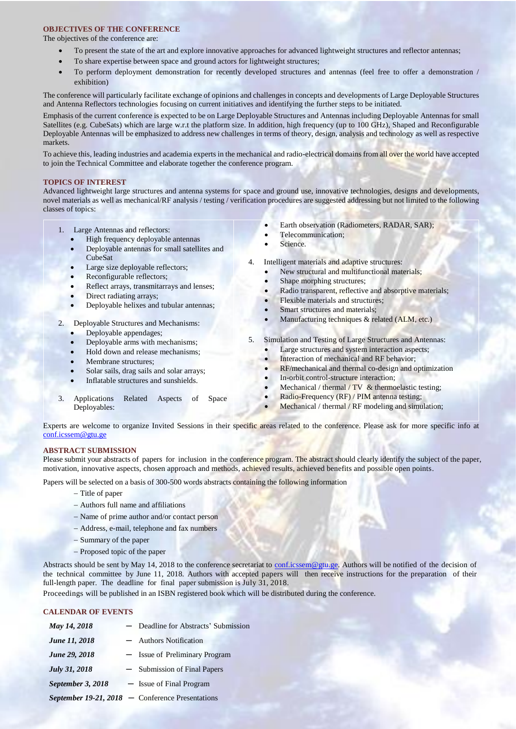## **OBJECTIVES OF THE CONFERENCE**

The objectives of the conference are:

- To present the state of the art and explore innovative approaches for advanced lightweight structures and reflector antennas;
- To share expertise between space and ground actors for lightweight structures;
- To perform deployment demonstration for recently developed structures and antennas (feel free to offer a demonstration / exhibition)

The conference will particularly facilitate exchange of opinions and challenges in concepts and developments of Large Deployable Structures and Antenna Reflectors technologies focusing on current initiatives and identifying the further steps to be initiated.

Emphasis of the current conference is expected to be on Large Deployable Structures and Antennas including Deployable Antennas for small Satellites (e.g. CubeSats) which are large w.r.t the platform size. In addition, high frequency (up to 100 GHz), Shaped and Reconfigurable Deployable Antennas will be emphasized to address new challenges in terms of theory, design, analysis and technology as well as respective markets.

To achieve this, leading industries and academia experts in the mechanical and radio-electrical domains from all over the world have accepted to join the Technical Committee and elaborate together the conference program.

### **TOPICS OF INTEREST**

Advanced lightweight large structures and antenna systems for space and ground use, innovative technologies, designs and developments, novel materials as well as mechanical/RF analysis / testing / verification procedures are suggested addressing but not limited to the following classes of topics:

- 1. Large Antennas and reflectors:
	- High frequency deployable antennas
	- Deployable antennas for small satellites and CubeSat
	- Large size deployable reflectors;
	- Reconfigurable reflectors;
	- Reflect arrays, transmitarrays and lenses;
	- Direct radiating arrays;
	- Deployable helixes and tubular antennas;
- 2. Deployable Structures and Mechanisms:
	- Deployable appendages;
	- Deployable arms with mechanisms;
	- Hold down and release mechanisms;
	- Membrane structures;
	- Solar sails, drag sails and solar arrays;
	- Inflatable structures and sunshields.
- 3. Applications Related Aspects of Space Deployables:
- Earth observation (Radiometers, RADAR, SAR);
- Telecommunication;
- Science.
- 4. Intelligent materials and adaptive structures:
	- New structural and multifunctional materials:
	- Shape morphing structures;
	- Radio transparent, reflective and absorptive materials;
	- Flexible materials and structures;
	- Smart structures and materials;
	- Manufacturing techniques  $&$  related (ALM, etc.)
- 5. Simulation and Testing of Large Structures and Antennas:
	- Large structures and system interaction aspects;
	- Interaction of mechanical and RF behavior;
	- RF/mechanical and thermal co-design and optimization
	- In-orbit control-structure interaction;
	- Mechanical / thermal /  $TV$  & thermoelastic testing;
	- Radio-Frequency (RF) / PIM antenna testing;
	- Mechanical / thermal / RF modeling and simulation;

Experts are welcome to organize Invited Sessions in their specific areas related to the conference. Please ask for more specific info at [conf.icssem@gtu.ge](mailto:conf.icssem@gtu.ge)

### **ABSTRACT SUBMISSION**

Please submit your abstracts of papers for inclusion in the conference program. The abstract should clearly identify the subject of the paper, motivation, innovative aspects, chosen approach and methods, achieved results, achieved benefits and possible open points.

Papers will be selected on a basis of 300-500 words abstracts containing the following information

- Title of paper
- Authors full name and affiliations
- Name of prime author and/or contact person
- Address, e-mail, telephone and fax numbers
- Summary of the paper
- Proposed topic of the paper

Abstracts should be sent by May 14, 2018 to the conference secretariat to confidence gtu.ge. Authors will be notified of the decision of the technical committee by June 11, 2018. Authors with accepted papers will then receive instructions for the preparation of their full-length paper. The deadline for final paper submission is July 31, 2018.

Proceedings will be published in an ISBN registered book which will be distributed during the conference.

## **CALENDAR OF EVENTS**

| May 14, 2018         | - Deadline for Abstracts' Submission               |
|----------------------|----------------------------------------------------|
| <b>June 11, 2018</b> | - Authors Notification                             |
| June 29, 2018        | - Issue of Preliminary Program                     |
| July 31, 2018        | - Submission of Final Papers                       |
| September 3, 2018    | - Issue of Final Program                           |
|                      | September 19-21, $2018$ – Conference Presentations |